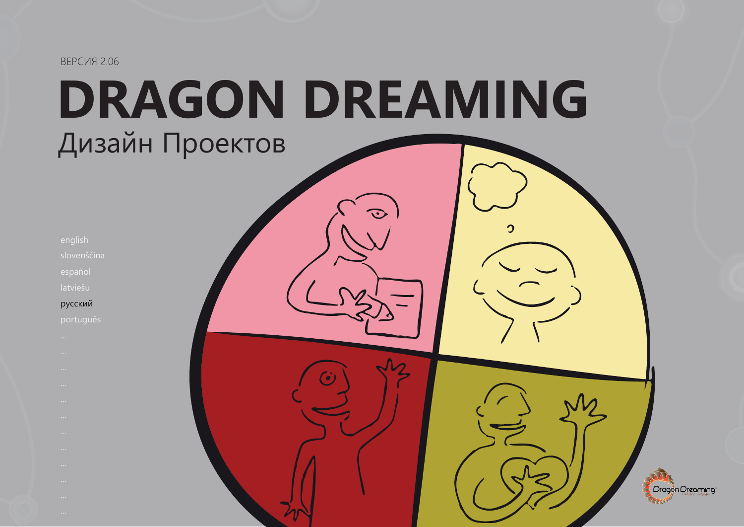# **DRAGON DREAMING** Дизайн Проектов

 $\Omega$ 

Oragon Oreaming

| ٠ | ٠<br>i. | ı<br>u | ٠ | ٠ |
|---|---------|--------|---|---|
|   |         |        |   |   |
|   |         |        |   |   |

slovenščina

latviešu

#### русский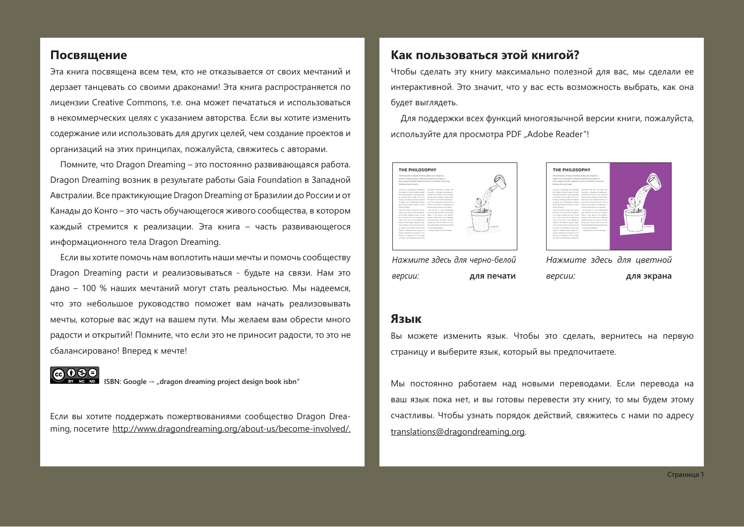#### Посвящение

Эта книга посвящена всем тем, кто не отказывается от своих мечтаний и дерзает танцевать со своими драконами! Эта книга распространяется по лицензии Creative Commons, т.е. она может печататься и использоваться в некоммерческих целях с указанием авторства. Если вы хотите изменить содержание или использовать для других целей, чем создание проектов и организаций на этих принципах, пожалуйста, свяжитесь с авторами.

Помните, что Dragon Dreaming – это постоянно развивающаяся работа. Dragon Dreaming возник в результате работы Gaia Foundation в Западной Австралии. Все практикующие Dragon Dreaming от Бразилии до России и от Канады до Конго – это часть обучающегося живого сообщества, в котором каждый стремится к реализации. Эта книга – часть развивающегося информационного тела Dragon Dreaming.

Если вы хотите помочь нам воплотить наши мечты и помочь сообществу Dragon Dreaming расти и реализовываться - будьте на связи. Нам это дано – 100 % наших мечтаний могут стать реальностью. Мы надеемся, что это небольшое руководство поможет вам начать реализовывать мечты, которые вас ждут на вашем пути. Мы желаем вам обрести много радости и открытий! Помните, что если это не приносит радости, то это не сбалансировано! Вперед к мечте!

@ 0 \$ € **-** $\mathsf{SBN:}$  Google  $\rightarrow$  "dragon dreaming project design book isbn"

Если вы хотите поддержать пожертвованиями сообщество Dragon Dreaming, посетите http://www.dragondreaming.org/about-us/become-involved/.

#### Как пользоваться этой книгой?

Чтобы сделать эту книгу максимально полезной для вас, мы сделали ее интерактивной. Это значит, что у вас есть возможность выбрать, как она будет выглядеть.

Для поддержки всех функций многоязычной версии книги, пожалуйста, используйте для просмотра PDF "Adobe Reader"!



Нажмите здесь для черно-белой версии: **для печати** 



*Нажмите здесь для цветной* версии: **для экрана** 

#### Язык

Вы можете изменить язык. Чтобы это сделать, вернитесь на первую страницу и выберите язык, который вы предпочитаете.

Мы постоянно работаем над новыми переводами. Если перевода на ваш язык пока нет, и вы готовы перевести эту книгу, то мы будем этому счастливы. Чтобы узнать порядок действий, свяжитесь с нами по адресу translations@dragondreaming.org.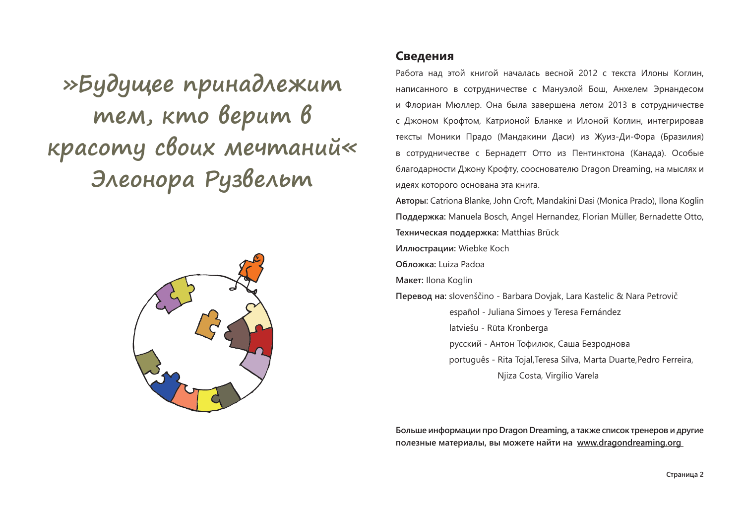»Будущее принадлежит тем, кто верит в красоту своих мечтаний« Элеонора Рузвельт



#### Сведения

Работа над этой книгой началась весной 2012 с текста Илоны Коглин. написанного в сотрудничестве с Мануэлой Бош, Анхелем Эрнандесом и Флориан Мюллер. Она была завершена летом 2013 в сотрудничестве с Джоном Крофтом, Катрионой Бланке и Илоной Коглин, интегрировав тексты Моники Прадо (Мандакини Даси) из Жуиз-Ди-Фора (Бразилия) в сотрудничестве с Бернадетт Отто из Пентинктона (Канада). Особые благодарности Джону Крофту, сооснователю Dragon Dreaming, на мыслях и идеях которого основана эта книга.

**Авторы:** Catriona Blanke, John Croft, Mandakini Dasi (Monica Prado), Ilona Koglin **20%%)3,** Manuela Bosch, Angel Hernandez, Florian Müller, Bernadette Otto, **Техническая поддержка: Matthias Brück** 

**Иллюстрации:** Wiebke Koch

**Обложка:** Luiza Padoa

**Макет:** Ilona Koglin

**Перевод на:** slovenščino - Barbara Dovjak, Lara Kastelic & Nara Petrovič español - Juliana Simoes y Teresa Fernández latviešu - Rūta Kronberga  $-p$ усский - Антон Тофилюк, Саша Безроднова português - Rita Tojal,Teresa Silva, Marta Duarte,Pedro Ferreira, Njiza Costa, Virgílio Varela

Больше информации про Dragon Dreaming, а также список тренеров и другие полезные материалы, вы можете найти на www.dragondreaming.org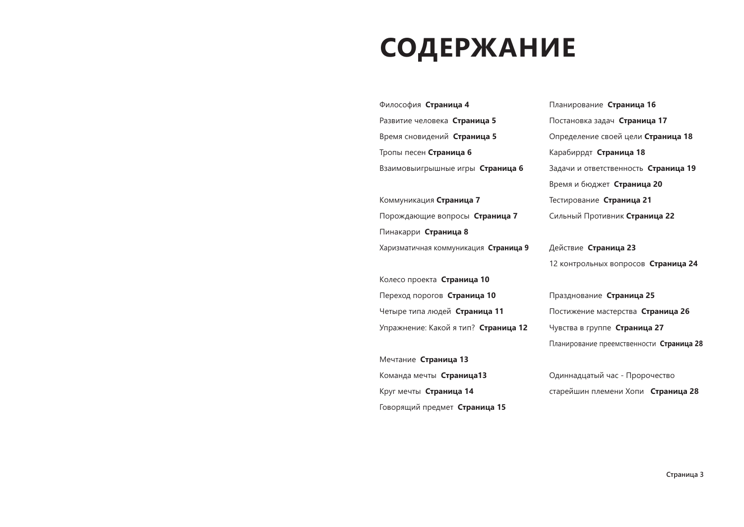## **СОДЕРЖАНИЕ**

| Философия Страница 4                  | Планирование Страница 16                 |
|---------------------------------------|------------------------------------------|
| Развитие человека Страница 5          | Постановка задач Страница 17             |
| Время сновидений Страница 5           | Определение своей цели Страница 18       |
| Тропы песен Страница 6                | Карабиррдт Страница 18                   |
| Взаимовыигрышные игры Страница 6      | Задачи и ответственность Страница 19     |
|                                       | Время и бюджет Страница 20               |
| Коммуникация Страница 7               | Тестирование Страница 21                 |
| Порождающие вопросы Страница 7        | Сильный Противник Страница 22            |
| Пинакарри Страница 8                  |                                          |
| Харизматичная коммуникация Страница 9 | Действие Страница 23                     |
|                                       | 12 контрольных вопросов Страница 24      |
| Колесо проекта Страница 10            |                                          |
| Переход порогов Страница 10           | Празднование Страница 25                 |
| Четыре типа людей Страница 11         | Постижение мастерства Страница 26        |
| Упражнение: Какой я тип? Страница 12  | Чувства в группе Страница 27             |
|                                       | Планирование преемственности Страница 28 |
| Мечтание Страница 13                  |                                          |
| Команда мечты Страница13              | Одиннадцатый час - Пророчество           |
| Круг мечты Страница 14                | старейшин племени Хопи Страница 28       |
| Говорящий предмет Страница 15         |                                          |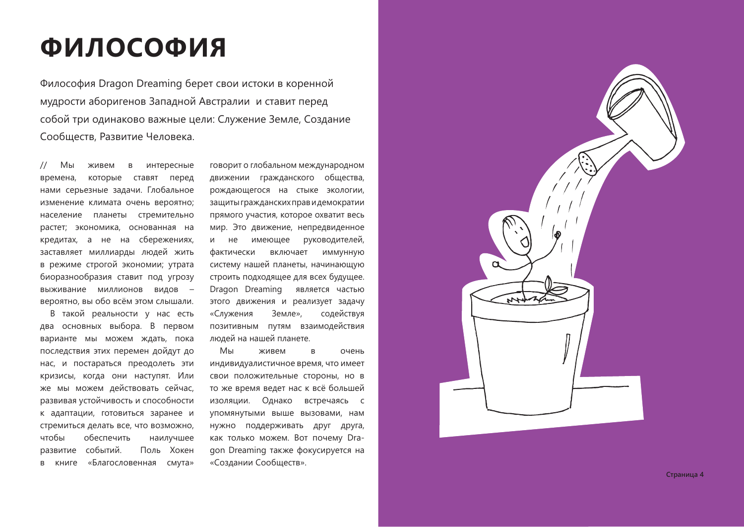## ФИЛОСОФИЯ

Философия Dragon Dreaming берет свои истоки в коренной мудрости аборигенов Западной Австралии и ставит перед собой три одинаково важные цели: Служение Земле, Создание Сообществ, Развитие Человека.

Мы  $\frac{1}{2}$ живем в интересные времена, которые ставят перед нами серьезные задачи. Глобальное изменение климата очень вероятно; население планеты стремительно растет; экономика, основанная на кредитах, а не на сбережениях, заставляет миллиарды людей жить в режиме строгой экономии; утрата биоразнообразия ставит под угрозу выживание миллионов видов вероятно, вы обо всём этом слышали.

В такой реальности у нас есть два основных выбора. В первом варианте мы можем ждать, пока последствия этих перемен дойдут до нас, и постараться преодолеть эти кризисы, когда они наступят. Или же мы можем действовать сейчас, развивая устойчивость и способности к адаптации, готовиться заранее и стремиться делать все, что возможно, чтобы обеспечить наилучшее развитие событий. Поль Хокен «Благословенная смута»  $\mathsf{B}$ книге

говорит о глобальном международном движении гражданского общества, рождающегося на стыке экологии, защиты гражданских прав и демократии прямого участия, которое охватит весь мир. Это движение, непредвиденное руководителей, **M** He имеющее фактически включает ИММУННУЮ систему нашей планеты, начинающую строить подходящее для всех будущее. Dragon Dreaming является частью этого движения и реализует задачу «Служения Земле», содействуя позитивным путям взаимодействия людей на нашей планете.

Мы живем  $\overline{B}$ очень индивидуалистичное время, что имеет свои положительные стороны, но в то же время ведет нас к всё большей изоляции. Однако встречаясь с упомянутыми выше вызовами, нам нужно поддерживать друг друга, как только можем. Вот почему Dragon Dreaming также фокусируется на «Создании Сообществ».



Страница 4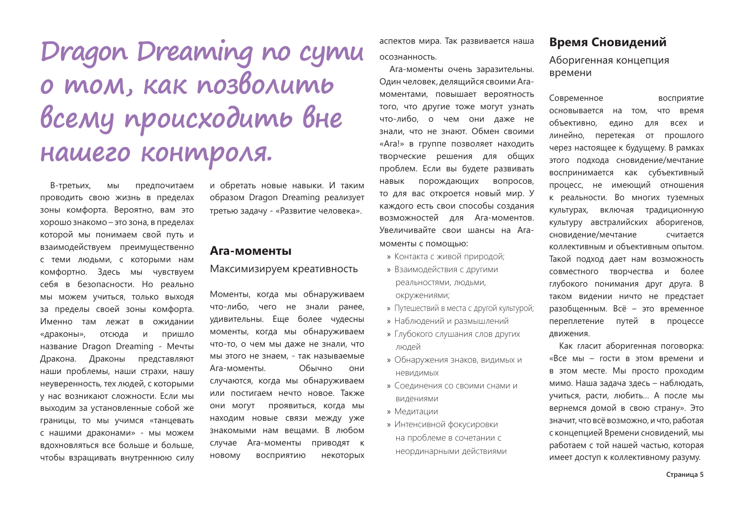# Dragon Dreaming no cymu о том, как позволить всему происходить вне нашего контроля.

В-третьих, МЫ предпочитаем проводить свою жизнь в пределах зоны комфорта. Вероятно, вам это хорошо знакомо - это зона, в пределах которой мы понимаем свой путь и взаимодействуем преимущественно с теми людьми, с которыми нам комфортно. Здесь мы чувствуем себя в безопасности. Но реально МЫ МОЖЕМ УЧИТЬСЯ, ТОЛЬКО ВЫХОДЯ за пределы своей зоны комфорта. Именно там лежат в ожидании «драконы», отсюда  $M$ пришло название Dragon Dreaming - Мечты Дракона. Драконы представляют наши проблемы, наши страхи, нашу неуверенность, тех людей, с которыми у нас возникают сложности. Если мы выходим за установленные собой же границы, то мы учимся «танцевать с нашими драконами» - мы можем вдохновляться все больше и больше. чтобы взращивать внутреннюю силу

и обретать новые навыки. И таким образом Dragon Dreaming реализует третью задачу - «Развитие человека».

#### Ага-моменты

Максимизируем креативность

Моменты, когда мы обнаруживаем что-либо, чего не знали ранее, удивительны. Еще более чудесны моменты, когда мы обнаруживаем что-то, о чем мы даже не знали, что мы этого не знаем. - так называемые Обычно Ага-моменты. **OHM** случаются, когда мы обнаруживаем или постигаем нечто новое. Также они могут проявиться, когда мы находим новые связи между уже знакомыми нам вешами. В любом случае Ага-моменты приводят к НОВОМУ восприятию некоторых аспектов мира. Так развивается наша

#### осознанность.

Ага-моменты очень заразительны. Один человек, делящийся своими Агамоментами, повышает вероятность того, что другие тоже могут узнать что-либо, о чем они даже не знали, что не знают. Обмен своими «Ага!» в группе позволяет находить творческие решения для общих проблем. Если вы будете развивать навык порождающих вопросов, то для вас откроется новый мир. У каждого есть свои способы создания возможностей для Ага-моментов. Увеличивайте свои шансы на Агамоменты с помощью:

- » Контакта с живой природой:
- » Взаимодействия с другими реальностями, людьми,

окружениями;

- » Путешествий в места с другой культурой;
- » Наблюдений и размышлений
- » Глубокого слушания слов других людей
- » Обнаружения знаков, видимых и Невидимых
- » Соединения со своими снами и видениями
- » Медитации
- » Интенсивной фокусировки на проблеме в сочетании с неординарными действиями

#### Время Сновидений

Аборигенная концепция времени

Современное восприятие основывается на том, что время объективно. едино ДЛЯ всех и линейно, перетекая от прошлого через настоящее к будущему. В рамках этого подхода сновидение/мечтание воспринимается как субъективный процесс, не имеющий отношения к реальности. Во многих туземных культурах, включая традиционную культуру австралийских аборигенов. сновидение/мечтание считается коллективным и объективным опытом. Такой подход дает нам возможность совместного творчества и более глубокого понимания друг друга. В таком видении ничто не предстает разобщенным. Всё - это временное переплетение путей  $\,$  B процессе движения.

Как гласит аборигенная поговорка: «Все мы - гости в этом времени и в этом месте. Мы просто проходим мимо. Наша задача здесь - наблюдать, учиться, расти, любить... А после мы вернемся домой в свою страну». Это значит, что всё возможно, и что, работая с концепцией Времени сновидений, мы работаем с той нашей частью, которая имеет доступ к коллективному разуму.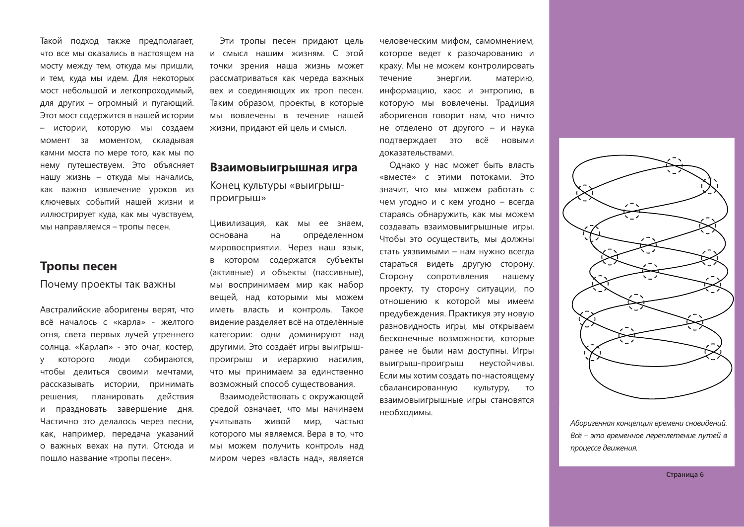Такой подход также предполагает, что все мы оказались в настоящем на мосту между тем, откуда мы пришли, и тем, куда мы идем. Для некоторых мост небольшой и легкопроходимый, для других - огромный и пугающий. Этот мост содержится в нашей истории - истории, которую мы создаем момент за моментом, складывая камни моста по мере того, как мы по нему путешествуем. Это объясняет нашу жизнь - откуда мы начались, как важно извлечение уроков из ключевых событий нашей жизни и иллюстрирует куда, как мы чувствуем, мы направляемся - тропы песен.

#### Тропы песен

Почему проекты так важны

Австралийские аборигены верят, что всё началось с «карла» - желтого огня, света первых лучей утреннего солнца. «Карлап» - это очаг, костер, которого люди собираются, **y** чтобы делиться своими мечтами, рассказывать истории, принимать решения, планировать действия и праздновать завершение дня. Частично это делалось через песни, как, например, передача указаний о важных вехах на пути. Отсюда и пошло название «тропы песен».

Эти тропы песен придают цель и смысл нашим жизням. С этой точки зрения наша жизнь может рассматриваться как череда важных вех и соединяющих их троп песен. Таким образом, проекты, в которые мы вовлечены в течение нашей жизни, придают ей цель и смысл.

#### Взаимовыигрышная игра

#### Конец культуры «выигрышпроигрыш»

Цивилизация, как мы ее знаем, основана  $HA$ определенном мировосприятии. Через наш язык, в котором содержатся субъекты (активные) и объекты (пассивные). мы воспринимаем мир как набор вещей, над которыми мы можем иметь власть и контроль. Такое видение разделяет всё на отделённые категории: одни доминируют над другими. Это создаёт игры выигрышпроигрыш и иерархию насилия, что мы принимаем за единственно возможный способ существования.

Взаимодействовать с окружающей средой означает, что мы начинаем учитывать живой мир, частью которого мы являемся. Вера в то, что мы можем получить контроль над миром через «власть над», является человеческим мифом, самомнением, которое ведет к разочарованию и краху. Мы не можем контролировать течение энергии. материю. информацию, хаос и энтропию, в которую мы вовлечены. Традиция аборигенов говорит нам, что ничто не отделено от другого - и наука подтверждает это всё **НОВЫМИ** доказательствами.

Однако у нас может быть власть «вместе» с этими потоками. Это значит, что мы можем работать с чем угодно и с кем угодно - всегда стараясь обнаружить, как мы можем создавать взаимовыигрышные игры. Чтобы это осуществить, мы должны стать уязвимыми - нам нужно всегда стараться видеть другую сторону. Сторону сопротивления нашему проекту, ту сторону ситуации, по отношению к которой мы имеем предубеждения. Практикуя эту новую разновидность игры, мы открываем бесконечные возможности, которые ранее не были нам доступны. Игры выигрыш-проигрыш неустойчивы. Если мы хотим создать по-настоящему сбалансированную **КVЛЬТVDV. TO** взаимовыигрышные игры становятся необходимы.



Аборигенная концепция времени сновидений. Всё - это временное переплетение путей в процессе движения.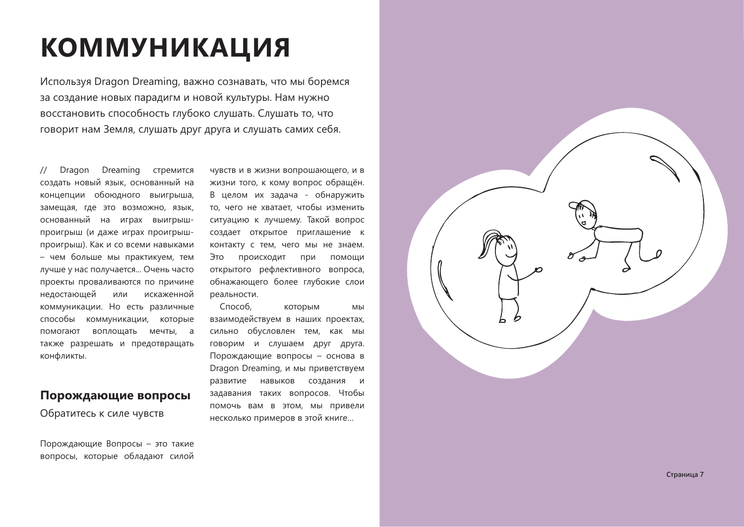# **КОММУНИКАЦИЯ**

Используя Dragon Dreaming, важно сознавать, что мы боремся за создание новых парадигм и новой культуры. Нам нужно восстановить способность глубоко слушать. Слушать то, что говорит нам Земля, слушать друг друга и слушать самих себя.

Dreaming Dragon стремится создать новый язык, основанный на концепции обоюдного выигрыша. замещая, где это возможно, язык, основанный на играх выигрышпроигрыш (и даже играх проигрышпроигрыш). Как и со всеми навыками - чем больше мы практикуем, тем лучше у нас получается... Очень часто проекты проваливаются по причине недостающей или искаженной коммуникации. Но есть различные способы коммуникации, которые помогают воплощать мечты, а также разрешать и предотвращать конфликты.

#### Порождающие вопросы

Обратитесь к силе чувств

Порождающие Вопросы - это такие вопросы, которые обладают силой

чувств и в жизни вопрошающего, и в жизни того, к кому вопрос обращён. В целом их задача - обнаружить то, чего не хватает, чтобы изменить ситуацию к лучшему. Такой вопрос создает открытое приглашение к контакту с тем, чего мы не знаем. Происходит Это при помощи открытого рефлективного вопроса, обнажающего более глубокие слои реальности.

Способ. которым МЫ взаимодействуем в наших проектах, сильно обусловлен тем, как мы говорим и слушаем друг друга. Порождающие вопросы - основа в Dragon Dreaming, и мы приветствуем навыков создания и развитие задавания таких вопросов. Чтобы помочь вам в этом, мы привели несколько примеров в этой книге...

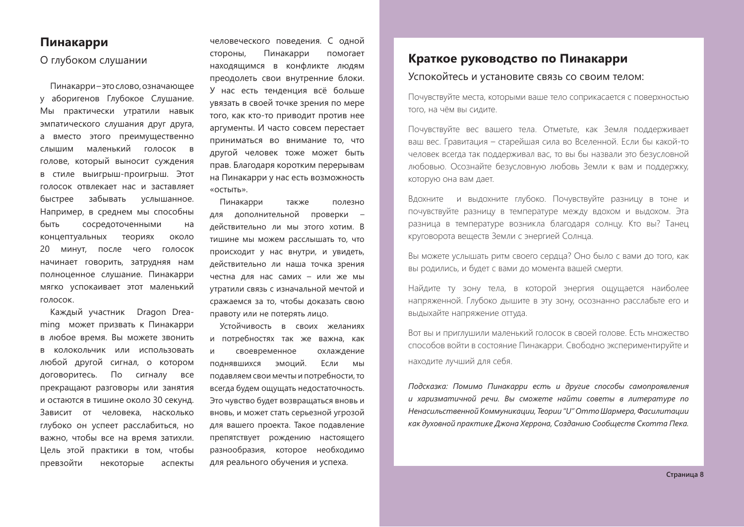#### Пинакарри

#### О глубоком слушании

Пинакарри-это слово, означающее у аборигенов Глубокое Слушание. Мы практически утратили навык эмпатического слушания друг друга, а вместо этого преимущественно маленький голосок в слышим голове, который выносит суждения в стиле выигрыш-проигрыш. Этот голосок отвлекает нас и заставляет забывать быстрее услышанное. Например, в среднем мы способны быть сосредоточенными  $HA$ концептуальных теориях ОКОЛО 20 минут, после чего голосок начинает говорить, затрудняя нам полноценное слушание. Пинакарри мягко успокаивает этот маленький голосок.

Каждый участник Dragon Dreaming может призвать к Пинакарри в любое время. Вы можете звонить в колокольчик или использовать любой другой сигнал, о котором договоритесь. По сигналу все прекращают разговоры или занятия и остаются в тишине около 30 секунд. Зависит от человека, насколько глубоко он успеет расслабиться, но важно, чтобы все на время затихли. Цель этой практики в том, чтобы превзойти некоторые аспекты

человеческого поведения. С одной Пинакарри стороны, помогает находящимся в конфликте людям преодолеть свои внутренние блоки. У нас есть тенденция всё больше увязать в своей точке зрения по мере того, как кто-то приводит против нее аргументы. И часто совсем перестает приниматься во внимание то, что другой человек тоже может быть прав. Благодаря коротким перерывам на Пинакарри у нас есть возможность «ОСТЫТЬ».

Пинакарри также ПОЛРЗНО для дополнительной проверки действительно ли мы этого хотим. В тишине мы можем расслышать то, что происходит у нас внутри, и увидеть, действительно ли наша точка зрения честна для нас самих - или же мы утратили связь с изначальной мечтой и сражаемся за то, чтобы доказать свою правоту или не потерять лицо.

Устойчивость в своих желаниях и потребностях так же важна, как  $\overline{M}$ своевременное охлаждение поднявшихся эмоций. Если МЫ подавляем свои мечты и потребности, то всегда будем ошушать недостаточность. Это чувство будет возвращаться вновь и вновь, и может стать серьезной угрозой для вашего проекта. Такое подавление препятствует рождению настоящего разнообразия, которое необходимо для реального обучения и успеха.

#### Краткое руководство по Пинакарри

#### Успокойтесь и установите связь со своим телом:

Почувствуйте места, которыми ваше тело соприкасается с поверхностью того, на чём вы силите.

Почувствуйте вес вашего тела. Отметьте, как Земля поддерживает ваш вес. Гравитация – старейшая сила во Вселенной. Если бы какой-то человек всегда так поддерживал вас, то вы бы назвали это безусловной любовью. Осознайте безусловную любовь Земли к вам и поддержку, которую она вам дает.

Вдохните и выдохните глубоко. Почувствуйте разницу в тоне и почувствуйте разницу в температуре между вдохом и выдохом. Эта разница в температуре возникла благодаря солнцу. Кто вы? Танец круговорота веществ Земли с энергией Солнца.

Вы можете услышать ритм своего сердца? Оно было с вами до того, как вы родились, и будет с вами до момента вашей смерти.

Найдите ту зону тела, в которой энергия ощущается наиболее напряженной. Глубоко дышите в эту зону, осознанно расслабьте его и выдыхайте напряжение оттуда.

Вот вы и приглушили маленький голосок в своей голове. Есть множество способов войти в состояние Пинакарри. Свободно экспериментируйте и находите лучший для себя.

Подсказка: Помимо Пинакарри есть и другие способы самопроявления и харизматичной речи. Вы сможете найти советы в литературе по Ненасильственной Коммуникации, Теории "U" Отто Шармера, Фасилитации как духовной практике Джона Херрона, Созданию Сообществ Скотта Пека.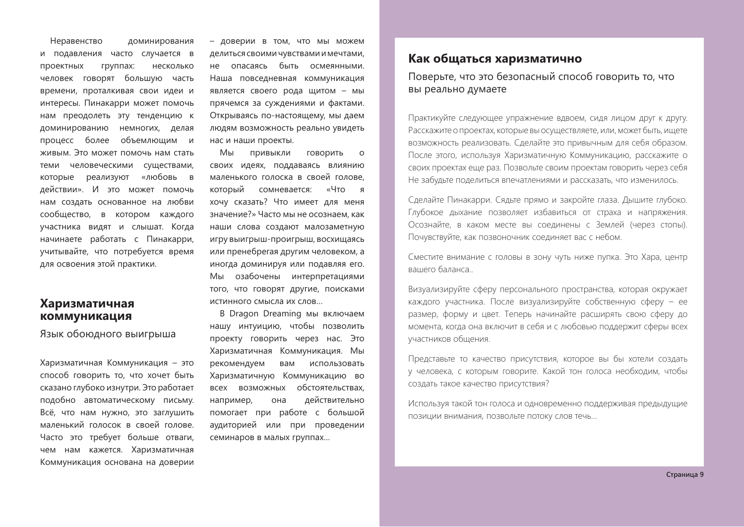Неравенство доминирования и подавления часто случается в проектных группах: несколько человек говорят большую часть времени, проталкивая свои идеи и интересы. Пинакарри может помочь нам преодолеть эту тенденцию к доминированию немногих, делая процесс более объемлющим и живым. Это может помочь нам стать теми человеческими существами, которые реализуют «любовь в действии». И это может помочь нам создать основанное на любви сообщество, в котором каждого участника видят и слышат. Когда начинаете работать с Пинакарри, учитывайте, что потребуется время для освоения этой практики.

#### Харизматичная коммуникация

Язык обоюдного выигрыша

Харизматичная Коммуникация - это способ говорить то, что хочет быть сказано глубоко изнутри. Это работает подобно автоматическому письму. Всё, что нам нужно, это заглушить маленький голосок в своей голове. Часто это требует больше отваги, чем нам кажется. Харизматичная Коммуникация основана на доверии - доверии в том, что мы можем делиться своими чувствами и мечтами, не опасаясь быть осмеянными. Наша повседневная коммуникация является своего рода щитом - мы прячемся за суждениями и фактами. Открываясь по-настоящему, мы даем людям возможность реально увидеть нас и наши проекты.

Мы ПРИВЫКЛИ ГОВОРИТЬ  $\Omega$ своих идеях, поддаваясь влиянию маленького голоска в своей голове, который сомневается: «Что я хочу сказать? Что имеет для меня значение?» Часто мы не осознаем, как наши слова создают малозаметную игру выигрыш-проигрыш, восхищаясь или пренебрегая другим человеком, а иногда доминируя или подавляя его. Мы озабочены интерпретациями того, что говорят другие, поисками истинного смысла их слов...

**B Dragon Dreaming мы включаем** нашу интуицию, чтобы позволить проекту говорить через нас. Это Харизматичная Коммуникация. Мы рекомендуем вам использовать Харизматичную Коммуникацию во обстоятельствах. всех возможных например, она действительно помогает при работе с большой аудиторией или при проведении семинаров в малых группах...

#### Как общаться харизматично

Поверьте, что это безопасный способ говорить то, что вы реально думаете

Практикуйте следующее упражнение вдвоем, сидя лицом друг к другу. Расскажите о проектах, которые вы осуществляете, или, может быть, ищете возможность реализовать. Сделайте это привычным для себя образом. После этого, используя Харизматичную Коммуникацию, расскажите о своих проектах еще раз. Позвольте своим проектам говорить через себя Не забудьте поделиться впечатлениями и рассказать, что изменилось.

Сделайте Пинакарри. Сядьте прямо и закройте глаза. Дышите глубоко. Глубокое дыхание позволяет избавиться от страха и напряжения. Осознайте, в каком месте вы соединены с Землей (через стопы). Почувствуйте, как позвоночник соединяет вас с небом.

Сместите внимание с головы в зону чуть ниже пупка. Это Хара, центр вашего баланса..

Визуализируйте сферу персонального пространства, которая окружает каждого участника. После визуализируйте собственную сферу - ее размер, форму и цвет. Теперь начинайте расширять свою сферу до момента, когда она включит в себя и с любовью поддержит сферы всех участников общения.

Представьте то качество присутствия, которое вы бы хотели создать у человека, с которым говорите. Какой тон голоса необходим, чтобы создать такое качество присутствия?

Используя такой тон голоса и одновременно поддерживая предыдущие позиции внимания, позвольте потоку слов течь...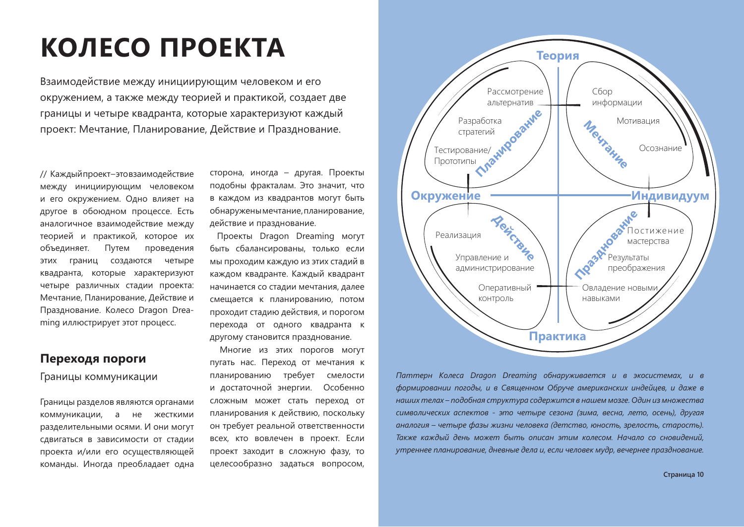# КОЛЕСО ПРОЕКТА

Взаимодействие между инициирующим человеком и его окружением, а также между теорией и практикой, создает две границы и четыре квадранта, которые характеризуют каждый проект: Мечтание, Планирование, Действие и Празднование.

// Каждыйпроект-этовзаимодействие между инициирующим человеком и его окружением. Одно влияет на другое в обоюдном процессе. Есть аналогичное взаимодействие между теорией и практикой, которое их объединяет. Путем проведения границ создаются четыре **ЭТИХ** квадранта, которые характеризуют четыре различных стадии проекта: Мечтание, Планирование, Действие и Празднование. Колесо Dragon Dreaming иллюстрирует этот процесс.

#### Переходя пороги

#### Границы коммуникации

Границы разделов являются органами коммуникации, а не жесткими разделительными осями. И они могут сдвигаться в зависимости от стадии проекта и/или его осуществляющей команды. Иногда преобладает одна

сторона, иногда - другая. Проекты подобны фракталам. Это значит, что в каждом из квадрантов могут быть обнаружены мечтание, планирование, действие и празднование.

Проекты Dragon Dreaming могут быть сбалансированы, только если мы проходим каждую из этих стадий в каждом квадранте. Каждый квадрант начинается со стадии мечтания, далее смещается к планированию, потом проходит стадию действия, и порогом перехода от одного квадранта к другому становится празднование.

Многие из этих порогов могут пугать нас. Переход от мечтания к планированию требует смелости и достаточной энергии. Особенно сложным может стать переход от планирования к действию, поскольку он требует реальной ответственности всех, кто вовлечен в проект. Если проект заходит в сложную фазу, то целесообразно задаться вопросом,



Паттерн Колеса Dragon Dreaming обнаруживается и в экосистемах, и в формировании погоды, и в Священном Обруче американских индейцев, и даже в наших телах – подобная структура содержится в нашем мозге. Один из множества символических аспектов - это четыре сезона (зима, весна, лето, осень), другая аналогия – четыре фазы жизни человека (детство, юность, зрелость, старость). Также каждый день может быть описан этим колесом. Начало со сновидений. утреннее планирование, дневные дела и, если человек мудр, вечернее празднование.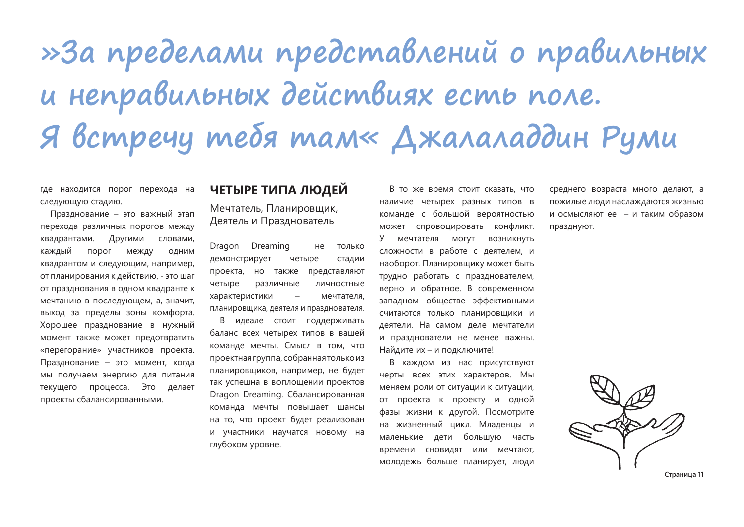# »За пределами представлений о правильных и неправильных действиях есть поле. Я встречу тебя там« Джалаладдин Руми

где находится порог перехода на следующую стадию.

Празднование - это важный этап перехода различных порогов между Другими квадрантами. словами, каждый порог между ОДНИМ квадрантом и следующим, например, от планирования к действию, - это шаг от празднования в одном квадранте к мечтанию в последующем, а, значит, выход за пределы зоны комфорта. Хорошее празднование в нужный момент также может предотвратить «перегорание» участников проекта. Празднование - это момент, когда мы получаем энергию для питания текущего процесса. Это лелает проекты сбалансированными.

#### ЧЕТЫРЕ ТИПА ЛЮДЕЙ

Мечтатель, Планировщик, Деятель и Празднователь

Dragon Dreaming только не четыре демонстрирует стадии проекта, но также представляют четыре различные личностные характеристики  $\equiv$ мечтателя. планировщика, деятеля и празднователя.

В идеале стоит поддерживать баланс всех четырех типов в вашей команде мечты. Смысл в том, что проектная группа, собранная только из планировшиков, например, не будет так успешна в воплощении проектов Dragon Dreaming. Сбалансированная команда мечты повышает шансы на то, что проект будет реализован и участники научатся новому на глубоком уровне.

В то же время стоит сказать, что наличие четырех разных типов в команде с большой вероятностью может спровоцировать конфликт. У мечтателя могут возникнуть сложности в работе с деятелем, и наоборот. Планировщику может быть трудно работать с празднователем, верно и обратное. В современном западном обществе эффективными считаются только планировщики и деятели. На самом деле мечтатели и празднователи не менее важны. Найдите их - и подключите!

В каждом из нас присутствуют черты всех этих характеров. Мы меняем роли от ситуации к ситуации, от проекта к проекту и одной фазы жизни к другой. Посмотрите на жизненный цикл. Младенцы и маленькие дети большую часть времени сновидят или мечтают, молодежь больше планирует, люди

среднего возраста много делают, а пожилые люди наслаждаются жизнью и осмысляют ее - и таким образом празднуют.



Страница 11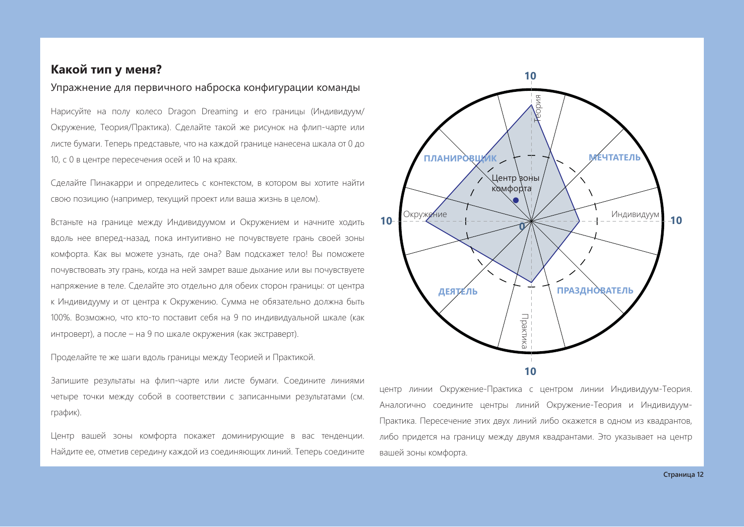#### Какой тип у меня?

#### Упражнение для первичного наброска конфигурации команды

Нарисуйте на полу колесо Dragon Dreaming и его границы (Индивидуум/ Окружение, Теория/Практика). Сделайте такой же рисунок на флип-чарте или листе бумаги. Теперь представьте, что на каждой границе нанесена шкала от 0 до 10, с 0 в центре пересечения осей и 10 на краях.

Сделайте Пинакарри и определитесь с контекстом, в котором вы хотите найти свою позицию (например, текущий проект или ваша жизнь в целом).

Встаньте на границе между Индивидуумом и Окружением и начните ходить вдоль нее вперед-назад, пока интуитивно не почувствуете грань своей зоны комфорта. Как вы можете узнать, где она? Вам подскажет тело! Вы поможете почувствовать эту грань, когда на ней замрет ваше дыхание или вы почувствуете напряжение в теле. Сделайте это отдельно для обеих сторон границы: от центра к Индивидууму и от центра к Окружению. Сумма не обязательно должна быть 100%. Возможно, что кто-то поставит себя на 9 по индивидуальной шкале (как интроверт), а после - на 9 по шкале окружения (как экстраверт).

Проделайте те же шаги вдоль границы между Теорией и Практикой.

Запишите результаты на флип-чарте или листе бумаги. Соедините линиями четыре точки между собой в соответствии с записанными результатами (см. график).

Центр вашей зоны комфорта покажет доминирующие в вас тенденции. Найдите ее, отметив середину каждой из соединяющих линий. Теперь соедините



центр линии Окружение-Практика с центром линии Индивидуум-Теория. Аналогично соедините центры линий Окружение-Теория и Индивидуум-Практика. Пересечение этих двух линий либо окажется в одном из квадрантов, либо придется на границу между двумя квадрантами. Это указывает на центр вашей зоны комфорта.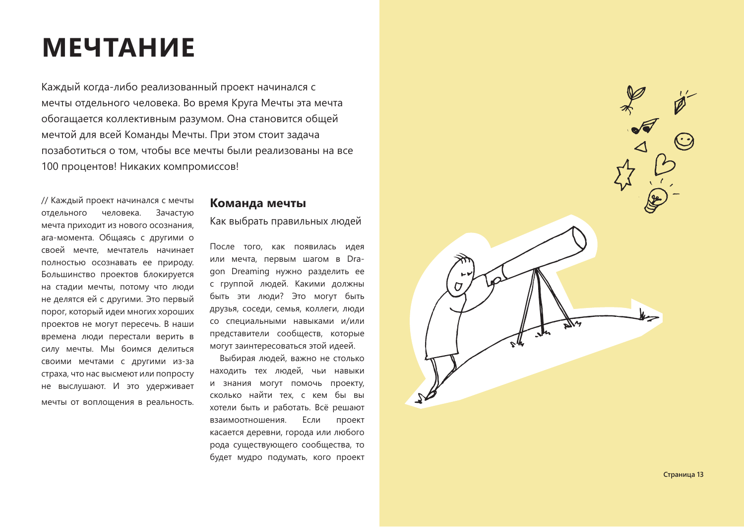### **МЕЧТАНИЕ**

Каждый когда-либо реализованный проект начинался с мечты отдельного человека. Во время Круга Мечты эта мечта обогащается коллективным разумом. Она становится общей мечтой для всей Команды Мечты. При этом стоит задача позаботиться о том, чтобы все мечты были реализованы на все 100 процентов! Никаких компромиссов!

// Каждый проект начинался с мечты отдельного человека. Зачастую мечта приходит из нового осознания, ага-момента. Общаясь с другими о своей мечте, мечтатель начинает полностью осознавать ее природу. Большинство проектов блокируется на стадии мечты, потому что люди не делятся ей с другими. Это первый порог, который идеи многих хороших проектов не могут пересечь. В наши времена люди перестали верить в силу мечты. Мы боимся делиться своими мечтами с другими из-за страха, что нас высмеют или попросту не выслушают. И это удерживает мечты от воплощения в реальность.

#### Команда мечты

Как выбрать правильных людей

После того, как появилась идея или мечта, первым шагом в Dragon Dreaming нужно разделить ее с группой людей. Какими должны быть эти люди? Это могут быть друзья, соседи, семья, коллеги, люди со специальными навыками и/или представители сообществ, которые могут заинтересоваться этой идеей.

Выбирая людей, важно не столько находить тех людей, чьи навыки и знания могут помочь проекту, сколько найти тех, с кем бы вы хотели быть и работать. Всё решают взаимоотношения. Если проект касается деревни, города или любого рода существующего сообщества, то будет мудро подумать, кого проект



Страница 13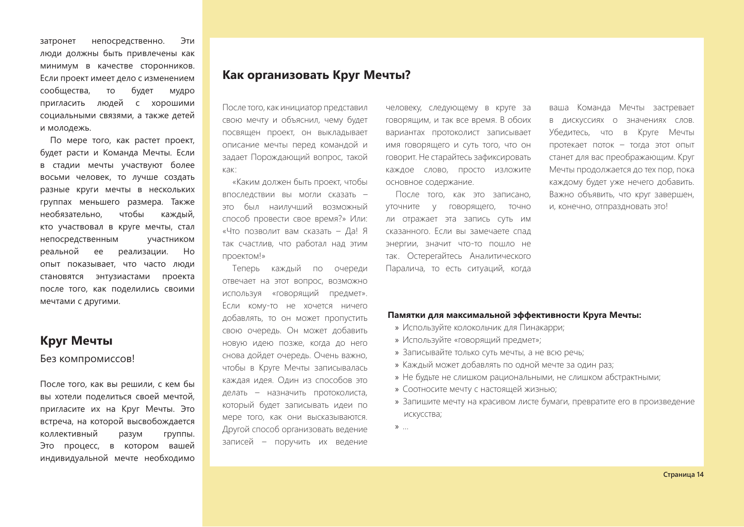непосредственно. Эти затронет люди должны быть привлечены как минимум в качестве сторонников. Если проект имеет дело с изменением сообщества, будет TO МУДРО пригласить людей с хорошими социальными связями, а также детей и молодежь.

По мере того, как растет проект, будет расти и Команда Мечты. Если в стадии мечты участвуют более восьми человек, то лучше создать разные круги мечты в нескольких группах меньшего размера. Также необязательно. чтобы каждый, кто участвовал в круге мечты, стал непосредственным участником реальной ee реализации. Ho опыт показывает, что часто люди становятся энтузиастами проекта после того, как поделились своими мечтами с другими.

#### Круг Мечты

#### Без компромиссов!

После того, как вы решили, с кем бы вы хотели поделиться своей мечтой, пригласите их на Круг Мечты. Это встреча, на которой высвобождается **коллективный** разум группы. Это процесс, в котором вашей индивидуальной мечте необходимо

#### Как организовать Круг Мечты?

После того, как инициатор представил свою мечту и объяснил, чему будет посвящен проект, он выкладывает описание мечты перед командой и задает Порождающий вопрос, такой как:

«Каким должен быть проект, чтобы впоследствии вы могли сказать это был наилучший возможный способ провести свое время?» Или: «Что позволит вам сказать - Да! Я так счастлив, что работал над этим проектом!»

Теперь каждый по очереди отвечает на этот вопрос, возможно используя «говорящий предмет». Если кому-то не хочется ничего добавлять, то он может пропустить свою очередь. Он может добавить новую идею позже, когда до него снова дойдет очередь. Очень важно, чтобы в Круге Мечты записывалась каждая идея. Один из способов это делать - назначить протоколиста, который будет записывать идеи по мере того, как они высказываются. Другой способ организовать ведение записей - поручить их ведение

человеку, следующему в круге за говорящим, и так все время. В обоих вариантах протоколист записывает ИМЯ ГОВОРЯЩЕГО И СУТЬ ТОГО, ЧТО ОН говорит. Не старайтесь зафиксировать каждое слово, просто изложите основное содержание.

После того, как это записано, уточните у говорящего, точно ли отражает эта запись суть им сказанного. Если вы замечаете спад энергии, значит что-то пошло не так. Остерегайтесь Аналитического Паралича, то есть ситуаций, когда

ваша Команда Мечты застревает в дискуссиях о значениях слов. Убедитесь, что в Круге Мечты протекает поток - тогда этот опыт станет для вас преображающим. Круг Мечты продолжается до тех пор, пока каждому будет уже нечего добавить. Важно объявить, что круг завершен, и, конечно, отпраздновать это!

#### Памятки для максимальной эффективности Круга Мечты:

- » Используйте колокольчик для Пинакарри;
- » Используйте «говорящий предмет»;
- » Записывайте только суть мечты, а не всю речь;
- » Каждый может добавлять по одной мечте за один раз;
- » Не будьте не слишком рациональными, не слишком абстрактными;
- » Соотносите мечту с настоящей жизнью;
- » Запишите мечту на красивом листе бумаги, превратите его в произведение искусства;
- $\mathcal{P}$  ...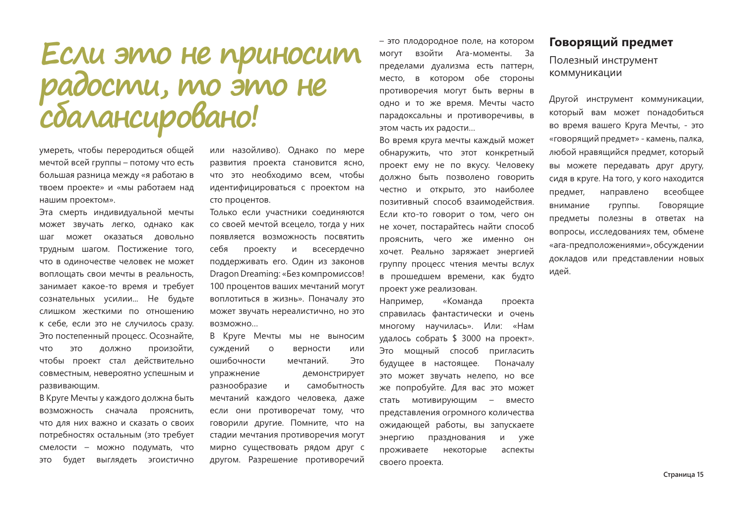# Если это не приносит<br>радости, то это не<br>сбалансировано!

умереть, чтобы переродиться общей мечтой всей группы - потому что есть большая разница между «я работаю в твоем проекте» и «мы работаем над нашим проектом».

Эта смерть индивидуальной мечты может звучать легко, однако как шаг может оказаться довольно трудным шагом. Постижение того, что в одиночестве человек не может воплощать свои мечты в реальность, занимает какое-то время и требует сознательных усилии... Не будьте слишком жесткими по отношению к себе, если это не случилось сразу. Это постепенный процесс. Осознайте, должно произойти, **4TO OTE** чтобы проект стал действительно совместным, невероятно успешным и развивающим.

В Круге Мечты у каждого должна быть возможность сначала прояснить, что для них важно и сказать о своих потребностях остальным (это требует смелости - можно подумать, что будет выглядеть эгоистично OTE

или назойливо). Однако по мере развития проекта становится ясно, что это необходимо всем, чтобы идентифицироваться с проектом на сто процентов.

Только если участники соединяются со своей мечтой всецело, тогда у них появляется возможность посвятить себя проекту И всесердечно поддерживать его. Один из законов Dragon Dreaming: «Без компромиссов! 100 процентов ваших мечтаний могут воплотиться в жизнь». Поначалу это может звучать нереалистично, но это BO3MOЖHO...

В Круге Мечты мы не выносим суждений  $\circ$ верности или ошибочности мечтаний. Это упражнение демонстрирует разнообразие  $M$ самобытность мечтаний каждого человека, даже если они противоречат тому, что говорили другие. Помните, что на стадии мечтания противоречия могут мирно существовать рядом друг с другом. Разрешение противоречий

- это плодородное поле, на котором взойти Ага-моменты. За **MOLVT** пределами дуализма есть паттерн, обе стороны место, в КОТОРОМ противоречия могут быть верны в одно и то же время. Мечты часто парадоксальны и противоречивы, в этом часть их радости...

Во время круга мечты каждый может обнаружить, что этот конкретный проект ему не по вкусу. Человеку должно быть позволено говорить честно и открыто, это наиболее позитивный способ взаимодействия. Если кто-то говорит о том, чего он не хочет, постарайтесь найти способ прояснить, чего же именно он хочет. Реально заряжает энергией группу процесс чтения мечты вслух в прошедшем времени, как будто проект уже реализован.

Например. «Команда проекта справилась фантастически и очень многому научилась». Или: «Нам удалось собрать \$ 3000 на проект». Это мошный способ пригласить будущее в настоящее. Поначалу это может звучать нелепо, но все же попробуйте. Для вас это может стать мотивирующим - вместо представления огромного количества ожидающей работы, вы запускаете энергию празднования и уже проживаете некоторые аспекты своего проекта.

#### Говорящий предмет

Полезный инструмент коммуникации

Другой инструмент коммуникации, который вам может понадобиться во время вашего Круга Мечты, - это «говорящий предмет» - камень, палка, любой нравящийся предмет, который вы можете передавать друг другу, сидя в круге. На того, у кого находится всеобщее предмет, направлено внимание группы. Говорящие предметы полезны в ответах на вопросы, исследованиях тем, обмене «ага-предположениями», обсуждении докладов или представлении новых илей.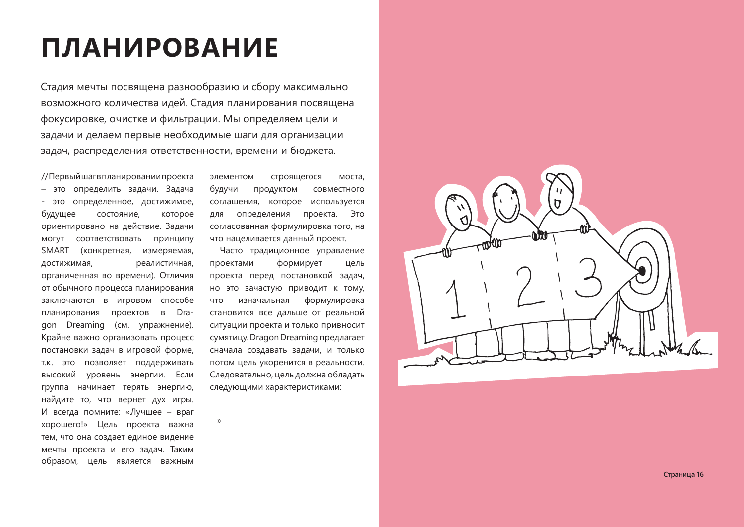## **ПЛАНИРОВАНИЕ**

Стадия мечты посвящена разнообразию и сбору максимально возможного количества идей. Стадия планирования посвящена фокусировке, очистке и фильтрации. Мы определяем цели и задачи и делаем первые необходимые шаги для организации задач, распределения ответственности, времени и бюджета.

//Первыйшагвпланированиипроекта - это определить задачи. Задача - это определенное, достижимое, будущее состояние, которое ориентировано на действие. Задачи могут соответствовать принципу SMART (конкретная, измеряемая, реалистичная, достижимая, органиченная во времени). Отличия от обычного процесса планирования заключаются в игровом способе планирования проектов в Dragon Dreaming (см. упражнение). Крайне важно организовать процесс постановки задач в игровой форме, т.к. это позволяет поддерживать высокий уровень энергии. Если группа начинает терять энергию, найдите то, что вернет дух игры. И всегда помните: «Лучшее - враг хорошего!» Цель проекта важна тем, что она создает единое видение мечты проекта и его задач. Таким образом, цель является важным

элементом строящегося моста. будучи продуктом совместного соглашения, которое используется проекта. Это определения ДЛЯ согласованная формулировка того, на что нацеливается данный проект.

Часто традиционное управление формирует проектами цель проекта перед постановкой задач, но это зачастую приводит к тому, **UTO** изначальная формулировка становится все дальше от реальной ситуации проекта и только привносит сумятицу. Dragon Dreaming предлагает сначала создавать задачи, и только потом цель укоренится в реальности. Следовательно, цель должна обладать следующими характеристиками:

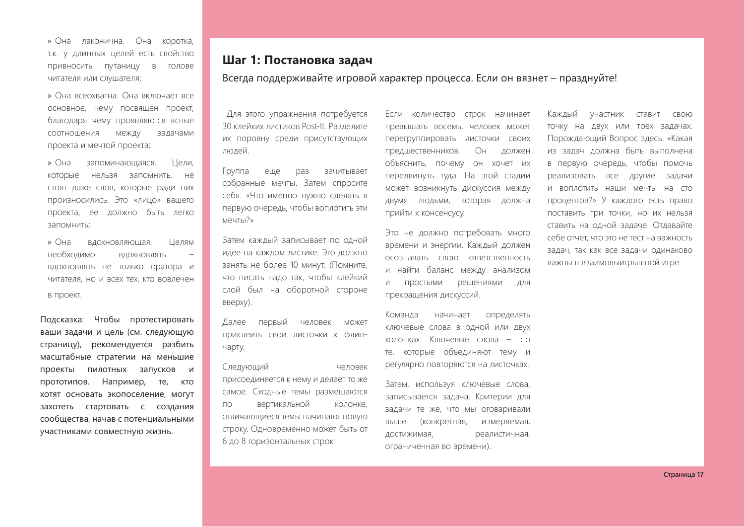» Она лаконична. Она KODOTKA. Т.К. У ДЛИННЫХ ЦЕЛЕЙ ЕСТЬ СВОЙСТВО привносить путаницу в голове читателя или слушателя:

» Она всеохватна. Она включает все основное, чему посвящен проект, благодаря чему проявляются ясные соотношения между задачами проекта и мечтой проекта:

» Она запоминающаяся. Цели. которые нельзя запомнить. не стоят даже слов, которые ради них произносились. Это «лицо» вашего проекта, ее должно быть легко запомнить;

» Она вдохновляющая. Целям необходимо ВДОХНОВЛЯТЬ вдохновлять не только оратора и читателя, но и всех тех, кто вовлечен в проект.

Подсказка: Чтобы протестировать ваши задачи и цель (см. следующую страницу), рекомендуется разбить масштабные стратегии на меньшие проекты пилотных запусков и прототипов. Например, те, кто хотят основать экопоселение, могут захотеть стартовать с создания сообщества, начав с потенциальными участниками совместную жизнь.

#### Шаг 1: Постановка задач

Всегда поддерживайте игровой характер процесса. Если он вязнет - празднуйте!

Для этого упражнения потребуется 30 клейких листиков Post-It. Разделите ИХ ПОРОВНУ СРЕДИ ПРИСУТСТВУЮЩИХ людей.

Группа еще  $pa3$ зачитывает собранные мечты. Затем спросите себя: «Что именно нужно сделать в первую очередь, чтобы воплотить эти  $M$  $P$  $4T$  $N$  $2<sub>x</sub>$ 

Затем каждый записывает по одной идее на каждом листике. Это должно занять не более 10 минут. (Помните, что писать надо так, чтобы клейкий слой был на оборотной стороне BBepxy).

Далее первый человек может приклеить свои листочки к флипчарту.

Следующий человек присоединяется к нему и делает то же самое. Сходные темы размещаются вертикальной колонке,  $\Box$ отличающиеся темы начинают новую строку. Одновременно может быть от 6 до 8 горизонтальных строк.

Если количество строк начинает превышать восемь, человек может перегруппировать листочки своих предшественников.  $O<sub>H</sub>$ лолжен объяснить, почему он хочет их передвинуть туда. На этой стадии может возникнуть дискуссия между двумя людьми, которая должна прийти к консенсусу.

Это не должно потребовать много времени и энергии. Каждый должен осознавать свою ответственность и найти баланс между анализом решениями ПРОСТЫМИ  $\overline{M}$ ДЛЯ прекращения дискуссий.

Команда начинает определять ключевые слова в одной или двух колонках. Ключевые слова - это те, которые объединяют тему и регулярно повторяются на листочках.

Затем, используя ключевые слова, записывается задача. Критерии для задачи те же, что мы оговаривали выше (конкретная, измеряемая, достижимая, реалистичная, ограниченная во времени).

Каждый участник ставит CBOЮ точку на двух или трех задачах. Порождающий Вопрос здесь: «Какая из задач должна быть выполнена в первую очередь, чтобы помочь реализовать все другие задачи и воплотить наши мечты на сто процентов?» У каждого есть право поставить три точки, но их нельзя ставить на одной задаче. Отдавайте себе отчет, что это не тест на важность задач, так как все задачи одинаково важны в взаимовыигрышной игре.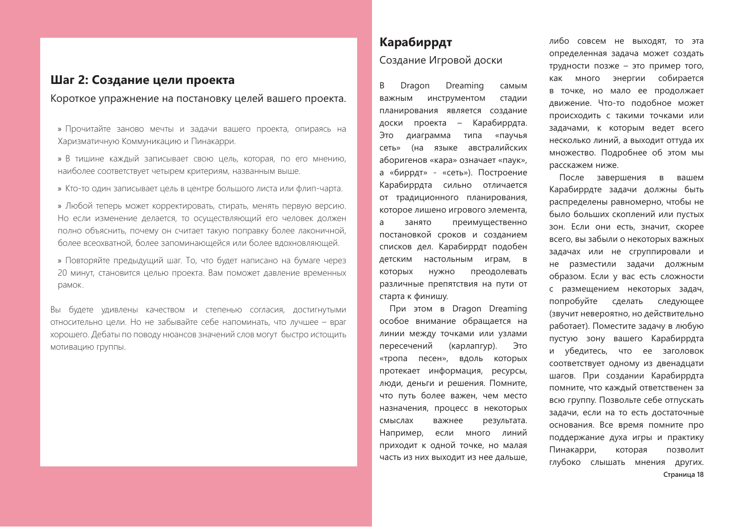#### Шаг 2: Создание цели проекта

Короткое упражнение на постановку целей вашего проекта.

- » Прочитайте заново мечты и задачи вашего проекта, опираясь на Харизматичную Коммуникацию и Пинакарри.
- » В тишине каждый записывает свою цель, которая, по его мнению, наиболее соответствует четырем критериям, названным выше.
- » Кто-то один записывает цель в центре большого листа или флип-чарта.
- » Любой теперь может корректировать, стирать, менять первую версию. Но если изменение делается, то осуществляющий его человек должен полно объяснить, почему он считает такую поправку более лаконичной, более всеохватной, более запоминающейся или более вдохновляющей.
- » Повторяйте предыдущий шаг. То, что будет написано на бумаге через 20 минут, становится целью проекта. Вам поможет давление временных рамок.

Вы будете удивлены качеством и степенью согласия, достигнутыми относительно цели. Но не забывайте себе напоминать, что лучшее - враг хорошего. Дебаты по поводу нюансов значений слов могут быстро истощить мотивацию группы.

#### Карабиррдт Создание Игровой доски

Dragon Dreaming B самым важным инструментом стадии планирования является создание доски проекта – Карабиррдта. диаграмма типа «паучья Это (на языке австралийских сеть» аборигенов «кара» означает «паук», а «биррдт» - «сеть»). Построение Карабиррдта сильно отличается от традиционного планирования, которое лишено игрового элемента, a занято преимущественно постановкой сроков и созданием списков дел. Карабиррдт подобен детским настольным играм, в которых НУЖНО преодолевать различные препятствия на пути от старта к финишу.

При этом в Dragon Dreaming особое внимание обращается на линии между точками или узлами пересечений (карлапгур). Это «тропа песен», вдоль которых протекает информация, ресурсы, люди, деньги и решения. Помните, что путь более важен, чем место назначения, процесс в некоторых смыслах важнее результата. Например, если много линий приходит к одной точке, но малая часть из них выходит из нее дальше,

либо совсем не выходят, то эта определенная задача может создать трудности позже - это пример того, как МНОГО энергии собирается в точке, но мало ее продолжает движение. Что-то подобное может происходить с такими точками или задачами, к которым ведет всего несколько линий, а выходит оттуда их множество. Подробнее об этом мы расскажем ниже.

После завершения  $\overline{B}$ вашем Карабиррдте задачи должны быть распределены равномерно, чтобы не было больших скоплений или пустых зон. Если они есть, значит, скорее всего, вы забыли о некоторых важных задачах или не сгруппировали и не разместили задачи должным образом. Если у вас есть сложности с размещением некоторых задач, попробуйте сделать следующее (звучит невероятно, но действительно работает). Поместите задачу в любую пустую зону вашего Карабиррдта и убедитесь, что ее заголовок соответствует одному из двенадцати шагов. При создании Карабиррдта помните, что каждый ответственен за всю группу. Позвольте себе отпускать задачи, если на то есть достаточные основания. Все время помните про поддержание духа игры и практику Пинакарри, которая ПОЗВОЛИТ глубоко слышать мнения других. Страница 18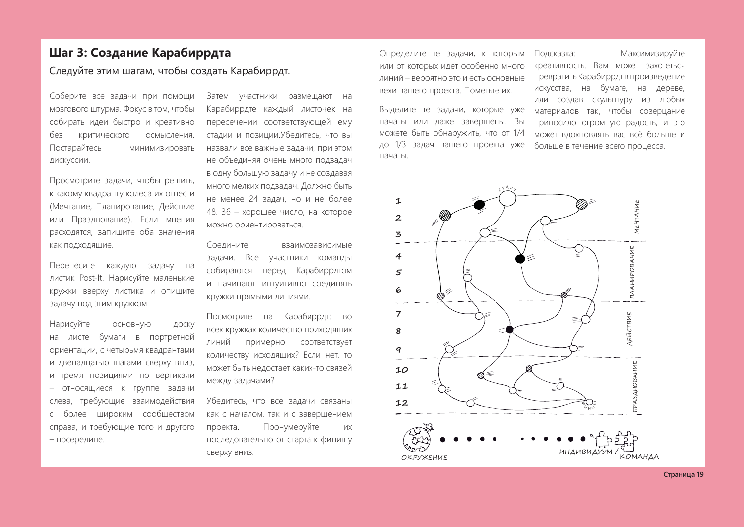#### Шаг 3: Создание Карабиррдта

Следуйте этим шагам, чтобы создать Карабиррдт.

Соберите все задачи при помощи мозгового штурма. Фокус в том, чтобы собирать идеи быстро и креативно без критического осмысления. Постарайтесь минимизировать дискуссии.

Просмотрите задачи, чтобы решить, к какому квадранту колеса их отнести (Мечтание, Планирование, Действие или Празднование). Если мнения расходятся, запишите оба значения как подходящие.

Перенесите каждую задачу на листик Post-It. Нарисуйте маленькие кружки вверху листика и опишите задачу под этим кружком.

Нарисуйте ОСНОВНУЮ ДОСКУ листе бумаги в портретной на ориентации, с четырьмя квадрантами и двенадцатью шагами сверху вниз, и тремя позициями по вертикали - относящиеся к группе задачи требующие взаимодействия слева, более широким сообществом  $\subset$ справа, и требующие того и другого - посередине.

Затем участники размещают на Карабиррдте каждый листочек на пересечении соответствующей ему стадии и позиции. Убедитесь, что вы назвали все важные задачи, при этом не объединяя очень много подзадач в одну большую задачу и не создавая много мелких подзадач. Должно быть не менее 24 задач, но и не более 48. 36 - хорошее число, на которое можно ориентироваться.

Соедините взаимозависимые задачи. Все участники команды собираются перед Карабиррдтом и начинают интуитивно соединять Кружки прямыми линиями.

Посмотрите на Карабиррдт: во всех кружках количество приходящих линий примерно соответствует количеству исходящих? Если нет, то может быть недостает каких-то связей между задачами?

Убедитесь, что все задачи связаны как с началом, так и с завершением проекта. Пронумеруйте **VIX** последовательно от старта к финишу сверху вниз.

Определите те задачи, к которым или от которых идет особенно много линий - вероятно это и есть основные вехи вашего проекта. Пометьте их.

Выделите те задачи, которые уже начаты или даже завершены. Вы можете быть обнаружить, что от 1/4 до 1/3 задач вашего проекта уже начаты

#### Подсказка: Максимизируйте креативность. Вам может захотеться превратить Карабиррдт в произведение искусства, на бумаге, на дереве, или создав скульптуру из любых материалов так, чтобы созерцание приносило огромную радость, и это может вдохновлять вас всё больше и больше в течение всего процесса.

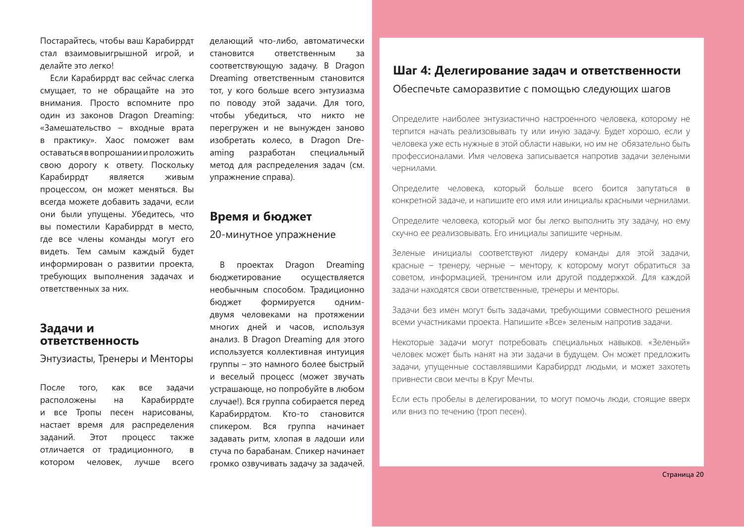Постарайтесь, чтобы ваш Карабиррдт стал взаимовыигрышной игрой, и делайте это легко!

Если Карабиррдт вас сейчас слегка смущает, то не обращайте на это внимания. Просто вспомните про один из законов Dragon Dreaming: «Замешательство - входные врата в практику». Хаос поможет вам оставаться в вопрошании и проложить свою дорогу к ответу. Поскольку Карабиррдт является ЖИВЫМ процессом, он может меняться. Вы всегда можете добавить задачи, если они были упущены. Убедитесь, что вы поместили Карабиррдт в место, где все члены команды могут его видеть. Тем самым каждый будет информирован о развитии проекта, требующих выполнения задачах и ответственных за них.

#### Задачи и **ОТВЕТСТВЕННОСТЬ**

Энтузиасты, Тренеры и Менторы

После того. как **BCe** задачи расположены  $Ha$ Карабиррдте и все Тропы песен нарисованы, настает время для распределения заданий. Этот процесс также отличается от традиционного,  $\overline{B}$ котором человек, лучше всего

делающий что-либо, автоматически становится ответственным за соответствующую задачу. В Dragon Dreaming ответственным становится тот, у кого больше всего энтузиазма по поводу этой задачи. Для того, чтобы убедиться, что никто не перегружен и не вынужден заново изобретать колесо, в Dragon Dreразработан специальный aming метод для распределения задач (см. упражнение справа).

#### Время и бюджет

20-минутное упражнение

В проектах Dragon Dreaming бюджетирование осуществляется необычным способом. Традиционно бюджет формируется ОДНИМдвумя человеками на протяжении многих дней и часов, используя анализ. В Dragon Dreaming для этого используется коллективная интуиция группы - это намного более быстрый и веселый процесс (может звучать устрашающе, но попробуйте в любом случае!). Вся группа собирается перед Карабиррдтом. Кто-то становится спикером. Вся группа начинает задавать ритм, хлопая в ладоши или стуча по барабанам. Спикер начинает громко озвучивать задачу за задачей.

#### Шаг 4: Делегирование задач и ответственности

Обеспечьте саморазвитие с помошью следующих шагов

Определите наиболее энтузиастично настроенного человека, которому не терпится начать реализовывать ту или иную задачу. Будет хорошо, если у человека уже есть нужные в этой области навыки, но им не обязательно быть профессионалами. Имя человека записывается напротив задачи зелеными чернилами.

Определите человека, который больше всего боится запутаться в конкретной задаче, и напишите его имя или инициалы красными чернилами.

Определите человека, который мог бы легко выполнить эту задачу, но ему скучно ее реализовывать. Его инициалы запишите черным.

Зеленые инициалы соответствуют лидеру команды для этой задачи, красные - тренеру, черные - ментору, к которому могут обратиться за советом, информацией, тренингом или другой поддержкой. Для каждой задачи находятся свои ответственные, тренеры и менторы.

Задачи без имен могут быть задачами, требующими совместного решения всеми участниками проекта. Напишите «Все» зеленым напротив задачи.

Некоторые задачи могут потребовать специальных навыков. «Зеленый» человек может быть нанят на эти задачи в будущем. Он может предложить задачи, упущенные составлявшими Карабиррдт людьми, и может захотеть привнести свои мечты в Круг Мечты.

Если есть пробелы в делегировании, то могут помочь люди, стоящие вверх или вниз по течению (троп песен).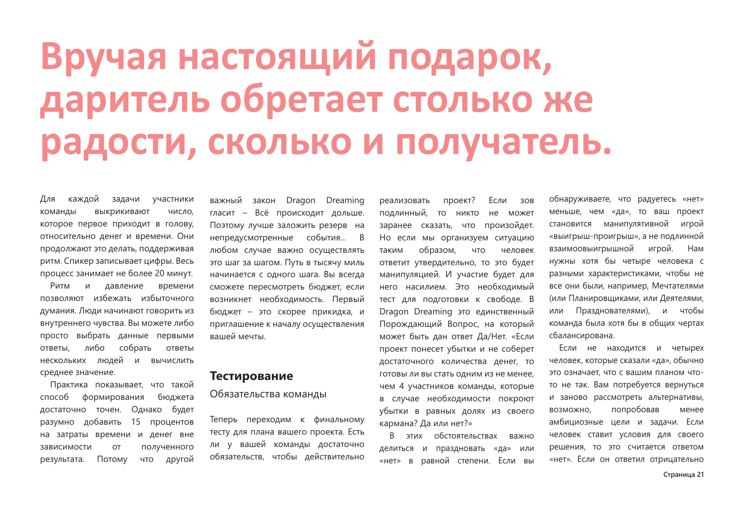# Вручая настоящий подарок, даритель обретает столько же радости, сколько и получатель.

каждой Для задачи участники команды выкрикивают число. которое первое приходит в голову, относительно денег и времени. Они продолжают это делать, поддерживая ритм. Спикер записывает цифры. Весь процесс занимает не более 20 минут.

Ритм и давление времени позволяют избежать избыточного думания. Люди начинают говорить из внутреннего чувства. Вы можете либо просто выбрать данные первыми либо собрать ответы, ответы нескольких людей и вычислить среднее значение.

Практика показывает, что такой способ формирования бюджета достаточно точен. Однако будет разумно добавить 15 процентов на затраты времени и денег вне OT полученного зависимости другой результата. Потому **YTO** 

закон Dragon Dreaming важный гласит - Всё происходит дольше. Поэтому лучше заложить резерв на непредусмотренные события... В любом случае важно осуществлять это шаг за шагом. Путь в тысячу миль начинается с одного шага. Вы всегда сможете пересмотреть бюджет, если возникнет необходимость. Первый бюджет - это скорее прикидка, и приглашение к началу осуществления вашей мечты.

#### Тестирование

#### Обязательства команды

Теперь переходим к финальному тесту для плана вашего проекта. Есть ли у вашей команды достаточно обязательств, чтобы действительно

реализовать проект? Если 30<sub>B</sub> подлинный, то никто не может заранее сказать, что произойдет. Но если мы организуем ситуацию образом, **YTO** человек таким ответит утвердительно, то это будет манипуляцией. И участие будет для него насилием. Это необходимый тест для подготовки к свободе. В Dragon Dreaming это единственный Порождающий Вопрос, на который может быть дан ответ Да/Нет. «Если проект понесет убытки и не соберет достаточного количества денег, то готовы ли вы стать одним из не менее, чем 4 участников команды, которые в случае необходимости покроют убытки в равных долях из своего кармана? Да или нет?»

В этих обстоятельствах важно делиться и праздновать «да» или «нет» в равной степени. Если вы

обнаруживаете, что радуетесь «нет» меньше, чем «да», то ваш проект становится манипулятивной игрой «выигрыш-проигрыш», а не подлинной взаимоовыигрышной игрой. Нам нужны хотя бы четыре человека с разными характеристиками, чтобы не все они были, например, Мечтателями (или Планировщиками, или Деятелями, или Празднователями), и чтобы команда была хотя бы в общих чертах сбалансирована.

Если не находится и четырех человек, которые сказали «да», обычно это означает, что с вашим планом чтото не так. Вам потребуется вернуться и заново рассмотреть альтернативы. попробовав возможно, менее амбициозные цели и задачи. Если человек ставит условия для своего решения, то это считается ответом «нет». Если он ответил отрицательно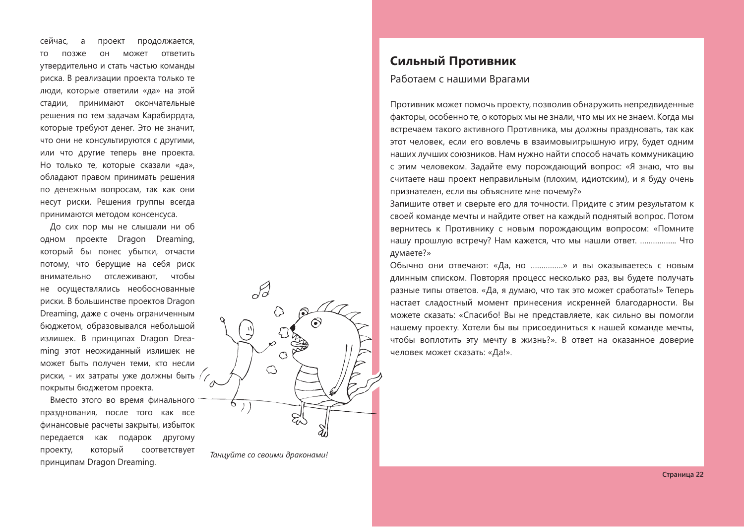сейчас. продолжается,  $\overline{a}$ проект **TO** позже OH может ответить утвердительно и стать частью команды риска. В реализации проекта только те люди, которые ответили «да» на этой стадии, принимают окончательные решения по тем задачам Карабиррдта. которые требуют денег. Это не значит, что они не консультируются с другими, или что другие теперь вне проекта. Но только те, которые сказали «да», обладают правом принимать решения по денежным вопросам, так как они несут риски. Решения группы всегда принимаются методом консенсуса.

До сих пор мы не слышали ни об одном проекте Dragon Dreaming, который бы понес убытки, отчасти потому, что берущие на себя риск внимательно отслеживают, чтобы не осуществлялись необоснованные риски. В большинстве проектов Dragon Dreaming, даже с очень ограниченным бюджетом, образовывался небольшой излишек. В принципах Dragon Dreaming этот неожиданный излишек не может быть получен теми, кто несли риски, - их затраты уже должны быть // покрыты бюджетом проекта.

Вместо этого во время финального празднования, после того как все финансовые расчеты закрыты, избыток передается как подарок другому который проекту, соответствует принципам Dragon Dreaming.



#### Таниуйте со своими драконами!

#### Сильный Противник

#### Работаем с нашими Врагами

Противник может помочь проекту, позволив обнаружить непредвиденные факторы, особенно те, о которых мы не знали, что мы их не знаем. Когда мы встречаем такого активного Противника, мы должны праздновать, так как этот человек, если его вовлечь в взаимовыигрышную игру, будет одним наших лучших союзников. Нам нужно найти способ начать коммуникацию с этим человеком. Задайте ему порождающий вопрос: «Я знаю, что вы считаете наш проект неправильным (плохим, идиотским), и я буду очень признателен, если вы объясните мне почему?»

Запишите ответ и сверьте его для точности. Придите с этим результатом к своей команде мечты и найдите ответ на каждый поднятый вопрос. Потом вернитесь к Противнику с новым порождающим вопросом: «Помните нашу прошлую встречу? Нам кажется, что мы нашли ответ. ................. Что думаете?»

Обычно они отвечают: «Да, но ................» и вы оказываетесь с новым длинным списком. Повторяя процесс несколько раз, вы будете получать разные типы ответов. «Да, я думаю, что так это может сработать!» Теперь настает сладостный момент принесения искренней благодарности. Вы можете сказать: «Спасибо! Вы не представляете, как сильно вы помогли нашему проекту. Хотели бы вы присоединиться к нашей команде мечты. чтобы воплотить эту мечту в жизнь?». В ответ на оказанное доверие человек может сказать: «Да!».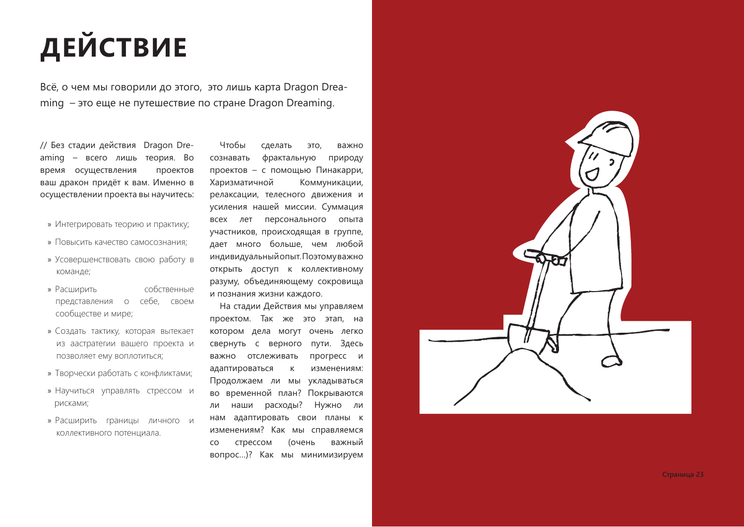# **ДЕЙСТВИЕ**

Всё, о чем мы говорили до этого, это лишь карта Dragon Dreaming - это еще не путешествие по стране Dragon Dreaming.

// Без стадии действия Dragon Dreaming - всего лишь теория. Во проектов время осуществления ваш дракон придёт к вам. Именно в осуществлении проекта вы научитесь:

- » Интегрировать теорию и практику;
- » Повысить качество самосознания:
- » Усовершенствовать свою работу в команде;
- » Расширить собственные представления о себе, своем сообществе и мире;
- » Создать тактику, которая вытекает из аастратегии вашего проекта и позволяет ему воплотиться;
- » Творчески работать с конфликтами;
- » Научиться управлять стрессом и рисками;
- » Расширить границы личного и коллективного потенциала.

Чтобы сделать ЭТО, важно сознавать фрактальную природу проектов - с помощью Пинакарри, Харизматичной Коммуникации, релаксации, телесного движения и усиления нашей миссии. Суммация всех лет персонального опыта участников, происходящая в группе, дает много больше, чем любой индивидуальный опыт. Поэтомуважно открыть доступ к коллективному разуму, объединяющему сокровища и познания жизни каждого.

На стадии Действия мы управляем проектом. Так же это этап, на котором дела могут очень легко свернуть с верного пути. Здесь прогресс и важно отслеживать адаптироваться  $\mathsf{K}$ изменениям: Продолжаем ли мы укладываться во временной план? Покрываются наши расходы? Нужно ли ли нам адаптировать свои планы к изменениям? Как мы справляемся стрессом (очень важный CO вопрос...)? Как мы минимизируем



Страница 23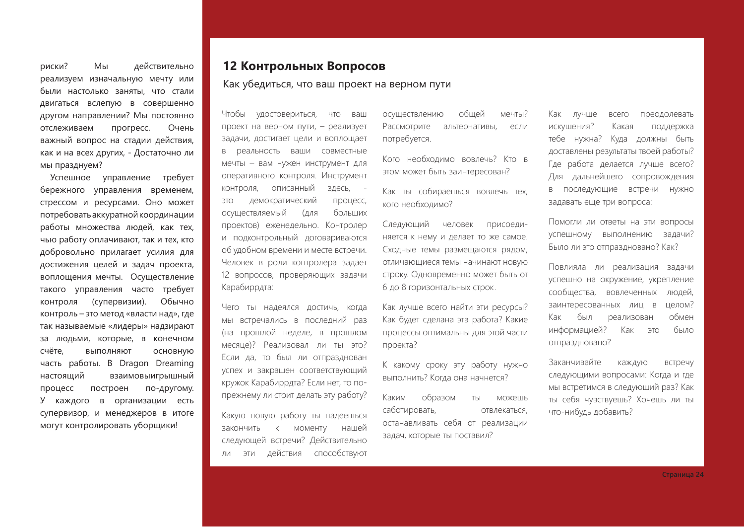риски? Мы действительно реализуем изначальную мечту или были настолько заняты, что стали двигаться вслепую в совершенно другом направлении? Мы постоянно отслеживаем прогресс. Очень важный вопрос на стадии действия, как и на всех других, - Достаточно ли мы празднуем?

Успешное управление требует бережного управления временем, стрессом и ресурсами. Оно может потребовать аккуратной координации работы множества людей, как тех, чью работу оплачивают, так и тех, кто добровольно прилагает усилия для достижения целей и задач проекта, воплощения мечты. Осуществление такого управления часто требует контроля (супервизии). Обычно контроль - это метод «власти над», где так называемые «лидеры» надзирают за людьми, которые, в конечном счёте. выполняют основную часть работы. В Dragon Dreaming настоящий взаимовыигрышный построен по-другому. процесс У каждого в организации есть супервизор, и менеджеров в итоге могут контролировать уборщики!

#### 12 Контрольных Вопросов

Как убедиться, что ваш проект на верном пути

Чтобы удостовериться, **YTO** ваш проект на верном пути, - реализует задачи, достигает цели и воплощает в реальность ваши совместные мечты - вам нужен инструмент для оперативного контроля. Инструмент контроля, описанный здесь, демократический **OTE** процесс, больших осуществляемый (для проектов) еженедельно. Контролер и подконтрольный договариваются об удобном времени и месте встречи. Человек в роли контролера задает 12 вопросов, проверяющих задачи Карабиррдта:

Чего ты надеялся достичь, когда мы встречались в последний раз (на прошлой неделе, в прошлом месяце)? Реализовал ли ты это? Если да, то был ли отпразднован успех и закрашен соответствующий кружок Карабиррдта? Если нет, то попрежнему ли стоит делать эту работу?

Какую новую работу ты надеешься к моменту закончить нашей следующей встречи? Действительно действия способствуют ли эти

обшей мечты? осуществлению Рассмотрите альтернативы, если потребуется.

Кого необходимо вовлечь? Кто в этом может быть заинтересован?

Как ты собираешься вовлечь тех. кого необхолимо?

Следующий человек присоединяется к нему и делает то же самое. Сходные темы размещаются рядом, отличающиеся темы начинают новую строку. Одновременно может быть от 6 до 8 горизонтальных строк.

Как лучше всего найти эти ресурсы? Как будет сделана эта работа? Какие процессы оптимальны для этой части проекта?

К какому сроку эту работу нужно выполнить? Когда она начнется?

Каким образом ТЫ можешь саботировать, отвлекаться. останавливать себя от реализации задач, которые ты поставил?

Как лучше всего преодолевать искушения? Какая поддержка тебе нужна? Куда должны быть доставлены результаты твоей работы? Где работа делается лучше всего? Для дальнейшего сопровождения в последующие встречи нужно задавать еще три вопроса:

Помогли ли ответы на эти вопросы успешному выполнению задачи? Было ли это отпраздновано? Как?

Повлияла ли реализация задачи успешно на окружение, укрепление сообщества, вовлеченных людей, целом? заинтересованных лиц в Как был реализован обмен информацией? было Как  $OTE$ отпраздновано?

Заканчивайте каждую встречу следующими вопросами: Когда и где мы встретимся в следующий раз? Как ты себя чувствуешь? Хочешь ли ты что-нибудь добавить?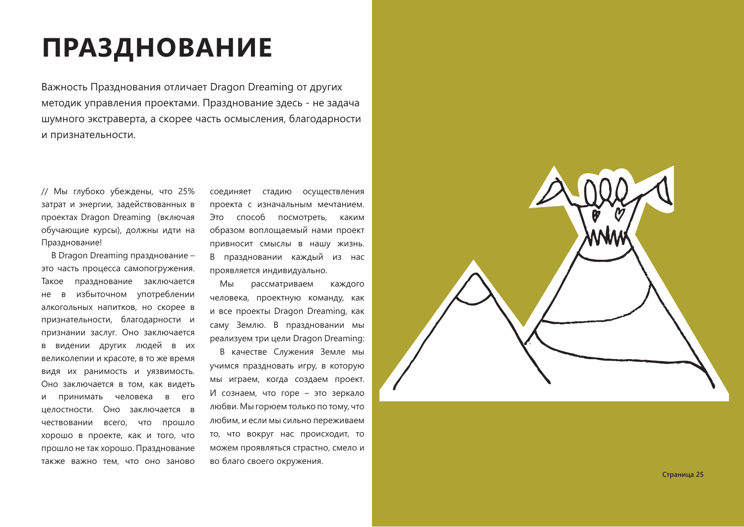## **ПРАЗДНОВАНИЕ**

Важность Празднования отличает Dragon Dreaming от других методик управления проектами. Празднование здесь - не задача шумного экстраверта, а скорее часть осмысления, благодарности и признательности.

// Мы глубоко убеждены, что 25% затрат и энергии, задействованных в проектах Dragon Dreaming (включая обучающие курсы), должны идти на Празднование!

В Dragon Dreaming празднование это часть процесса самопогружения. Такое празднование заключается избыточном употреблении нe  $\overline{B}$ алкогольных напитков, но скорее в признательности, благодарности и признании заслуг. Оно заключается в видении других людей в их великолепии и красоте, в то же время видя их ранимость и уязвимость. Оно заключается в том, как видеть принимать человека в его И целостности. Оно заключается в чествовании всего, что прошло хорошо в проекте, как и того, что прошло не так хорошо. Празднование также важно тем, что оно заново соединяет стадию осуществления проекта с изначальным мечтанием. Это способ посмотреть, каким образом воплощаемый нами проект привносит смыслы в нашу жизнь. В праздновании каждый из нас проявляется индивидуально.

Мы рассматриваем каждого человека, проектную команду, как и все проекты Dragon Dreaming, как саму Землю. В праздновании мы реализуем три цели Dragon Dreaming:

В качестве Служения Земле мы учимся праздновать игру, в которую мы играем, когда создаем проект. И сознаем, что горе - это зеркало любви. Мы горюем только по тому, что любим, и если мы сильно переживаем то, что вокруг нас происходит, то можем проявляться страстно, смело и во благо своего окружения.

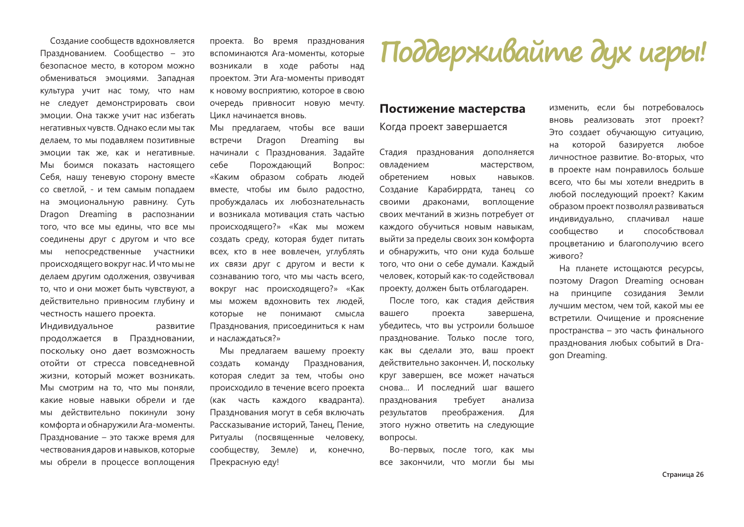Создание сообществ вдохновляется Празднованием. Сообщество - это безопасное место, в котором можно обмениваться эмоциями. Западная культура учит нас тому, что нам не следует демонстрировать свои эмоции. Она также учит нас избегать негативных чувств. Однако если мы так делаем, то мы подавляем позитивные эмоции так же, как и негативные. Мы боимся показать настоящего Себя, нашу теневую сторону вместе со светлой. - и тем самым попадаем на эмоциональную равнину. Суть Dragon Dreaming в распознании того, что все мы едины, что все мы соединены друг с другом и что все МЫ непосредственные участники происходящего вокруг нас. И что мы не делаем другим одолжения, озвучивая то, что и они может быть чувствуют, а действительно привносим глубину и честность нашего проекта.

Индивидуальное развитие Праздновании, продолжается в поскольку оно дает возможность отойти от стресса повседневной жизни, который может возникать. Мы смотрим на то, что мы поняли. какие новые навыки обрели и где мы действительно покинули зону комфорта и обнаружили Ага-моменты. Празднование - это также время для чествования даров и навыков, которые мы обрели в процессе воплощения проекта. Во время празднования вспоминаются Ага-моменты, которые возникали в ходе работы над проектом. Эти Ага-моменты приводят К НОВОМУ ВОСПРИЯТИЮ, КОТОРОЕ В СВОЮ очередь привносит новую мечту. Цикл начинается вновь.

Мы предлагаем, чтобы все ваши Dragon Dreaming встречи BЫ начинали с Празднования. Задайте себе Порождающий Вопрос: «Каким образом собрать людей вместе, чтобы им было радостно, пробуждалась их любознательнасть и возникала мотивация стать частью происходящего?» «Как мы можем создать среду, которая будет питать всех, кто в нее вовлечен, углублять их связи друг с другом и вести к сознаванию того, что мы часть всего, вокруг нас происходящего?» «Как мы можем вдохновить тех людей, которые  $He$ понимают смысла Празднования, присоединиться к нам и наслаждаться?»

Мы предлагаем вашему проекту Празднования, создать команду которая следит за тем, чтобы оно происходило в течение всего проекта (как часть каждого квадранта). Празднования могут в себя включать Рассказывание историй. Танец. Пение. Ритуалы (посвященные человеку. сообществу, Земле) И. конечно, Прекрасную еду!

# Поддерживайте дух игры!

#### Постижение мастерства

#### Когда проект завершается

Стадия празднования дополняется овладением мастерством, обретением **HOBHIX** навыков. Создание Карабиррдта, танец со СВОИМИ драконами, воплощение своих мечтаний в жизнь потребует от каждого обучиться новым навыкам, выйти за пределы своих зон комфорта и обнаружить, что они куда больше того, что они о себе думали. Каждый человек, который как-то содействовал проекту, должен быть отблагодарен.

После того, как стадия действия проекта завершена, вашего убедитесь, что вы устроили большое празднование. Только после того, как вы сделали это, ваш проект действительно закончен. И, поскольку круг завершен, все может начаться снова... И последний шаг вашего празднования требует анализа преображения. результатов Для этого нужно ответить на следующие вопросы.

Во-первых, после того, как мы все закончили, что могли бы МЫ

изменить, если бы потребовалось вновь реализовать этот проект? Это создает обучающую ситуацию, на которой базируется любое личностное развитие. Во-вторых, что в проекте нам понравилось больше всего, что бы мы хотели внедрить в любой последующий проект? Каким образом проект позволял развиваться индивидуально, сплачивал наше сообшество И способствовал процветанию и благополучию всего живого?

На планете истощаются ресурсы, поэтому Dragon Dreaming основан на принципе созидания Земли лучшим местом, чем той, какой мы ее встретили. Очищение и прояснение пространства - это часть финального празднования любых событий в Dragon Dreaming.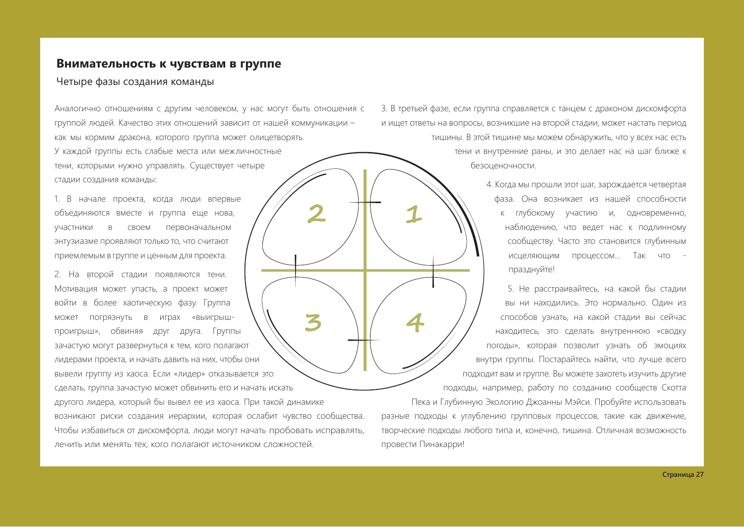#### Внимательность к чувствам в группе

#### Четыре фазы создания команды

Аналогично отношениям с другим человеком, у нас могут быть отношения с группой людей. Качество этих отношений зависит от нашей коммуникации как мы кормим дракона, которого группа может олицетворять. У каждой группы есть слабые места или межличностные тени, которыми нужно управлять. Существует четыре

стадии создания команды:

1. В начале проекта, когда люди впервые объединяются вместе и группа еще нова. участники  $\overline{B}$ своем первоначальном энтузиазме проявляют только то, что считают приемлемым в группе и ценным для проекта.

2. На второй стадии появляются тени. Мотивация может упасть, а проект может войти в более хаотическую фазу. Группа может погрязнуть в играх «выигрышпроигрыш», обвиняя друг друга. Группы зачастую могут развернуться к тем, кого полагают лидерами проекта, и начать давить на них, чтобы они вывели группу из хаоса. Если «лидер» отказывается это сделать, группа зачастую может обвинить его и начать искать другого лидера, который бы вывел ее из хаоса. При такой динамике возникают риски создания иерархии, которая ослабит чувство сообщества. Чтобы избавиться от дискомфорта, люди могут начать пробовать исправлять, лечить или менять тех, кого полагают источником сложностей.

3. В третьей фазе, если группа справляется с танцем с драконом дискомфорта и ищет ответы на вопросы, возникшие на второй стадии, может настать период тишины. В этой тишине мы можем обнаружить, что у всех нас есть тени и внутренние раны, и это делает нас на шаг ближе к безоценочности.

> 4. Когда мы прошли этот шаг, зарождается четвертая фаза. Она возникает из нашей способности к глубокому участию и, одновременно, наблюдению, что ведет нас к подлинному сообществу. Часто это становится глубинным исцеляющим процессом... Так что празднуйте!

5. Не расстраивайтесь, на какой бы стадии вы ни находились. Это нормально. Один из способов узнать, на какой стадии вы сейчас находитесь, это сделать внутреннюю «сводку погоды», которая позволит узнать об эмоциях внутри группы. Постарайтесь найти, что лучше всего подходит вам и группе. Вы можете захотеть изучить другие подходы, например, работу по созданию сообществ Скотта

Пека и Глубинную Экологию Джоанны Мэйси. Пробуйте использовать разные подходы к углублению групповых процессов, такие как движение, творческие подходы любого типа и, конечно, тишина. Отличная возможность провести Пинакарри!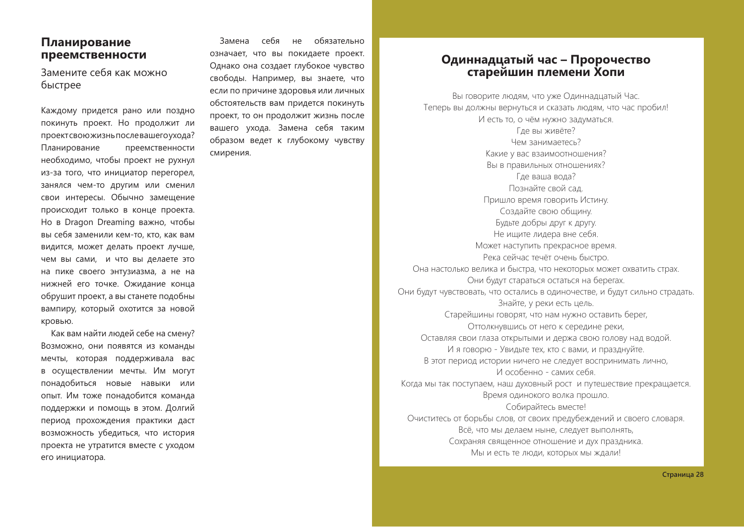#### Планирование преемственности

Замените себя как можно быстрее

Каждому придется рано или поздно покинуть проект. Но продолжит ли проектсвою жизнь послевашего ухода? Планирование преемственности необходимо, чтобы проект не рухнул из-за того, что инициатор перегорел, занялся чем-то другим или сменил свои интересы. Обычно замещение происходит только в конце проекта. Но в Dragon Dreaming важно, чтобы вы себя заменили кем-то, кто, как вам видится, может делать проект лучше, чем вы сами, и что вы делаете это на пике своего энтузиазма, а не на нижней его точке. Ожидание конца обрушит проект, а вы станете подобны вампиру, который охотится за новой кровью.

Как вам найти людей себе на смену? Возможно, они появятся из команды мечты, которая поддерживала вас в осуществлении мечты. Им могут понадобиться новые навыки или опыт. Им тоже понадобится команда поддержки и помощь в этом. Долгий период прохождения практики даст возможность убедиться, что история проекта не утратится вместе с уходом его инициатора.

Замена себя не обязательно означает, что вы покидаете проект. Однако она создает глубокое чувство свободы. Например, вы знаете, что если по причине здоровья или личных обстоятельств вам придется покинуть проект, то он продолжит жизнь после вашего ухода. Замена себя таким образом ведет к глубокому чувству смирения.

#### Одиннадцатый час - Пророчество старейшин племени Хопи

Вы говорите людям, что уже Одиннадцатый Час. Теперь вы должны вернуться и сказать людям, что час пробил! И есть то, о чём нужно задуматься. Где вы живёте? Чем занимаетесь? Какие у вас взаимоотношения? Вы в правильных отношениях? Где ваша вода? Познайте свой сал Пришло время говорить Истину. Создайте свою общину. Будьте добры друг к другу. Не ищите лидера вне себя. Может наступить прекрасное время. Река сейчас течёт очень быстро. Она настолько велика и быстра, что некоторых может охватить страх. Они будут стараться остаться на берегах. Они будут чувствовать, что остались в одиночестве, и будут сильно страдать. Знайте, у реки есть цель. Старейшины говорят, что нам нужно оставить берег, Оттолкнувшись от него к середине реки, Оставляя свои глаза открытыми и держа свою голову над водой. И я говорю - Увидьте тех, кто с вами, и празднуйте. В этот период истории ничего не следует воспринимать лично, И особенно - самих себя. Когда мы так поступаем, наш духовный рост и путешествие прекращается. Время одинокого волка прошло. Собирайтесь вместе! Очиститесь от борьбы слов, от своих предубеждений и своего словаря. Всё, что мы делаем ныне, следует выполнять, Сохраняя священное отношение и дух праздника. Мы и есть те люди, которых мы ждали!